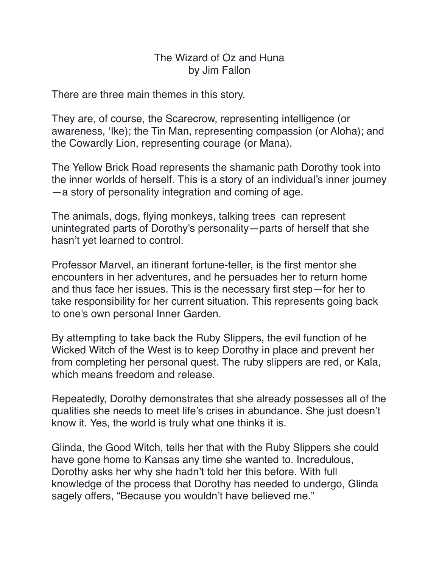## The Wizard of Oz and Huna by Jim Fallon

There are three main themes in this story.

They are, of course, the Scarecrow, representing intelligence (or awareness, 'Ike); the Tin Man, representing compassion (or Aloha); and the Cowardly Lion, representing courage (or Mana).

The Yellow Brick Road represents the shamanic path Dorothy took into the inner worlds of herself. This is a story of an individual's inner journey —a story of personality integration and coming of age.

The animals, dogs, flying monkeys, talking trees can represent unintegrated parts of Dorothy's personality—parts of herself that she hasn't yet learned to control.

Professor Marvel, an itinerant fortune-teller, is the first mentor she encounters in her adventures, and he persuades her to return home and thus face her issues. This is the necessary first step—for her to take responsibility for her current situation. This represents going back to one's own personal Inner Garden.

By attempting to take back the Ruby Slippers, the evil function of he Wicked Witch of the West is to keep Dorothy in place and prevent her from completing her personal quest. The ruby slippers are red, or Kala, which means freedom and release.

Repeatedly, Dorothy demonstrates that she already possesses all of the qualities she needs to meet life's crises in abundance. She just doesn't know it. Yes, the world is truly what one thinks it is.

Glinda, the Good Witch, tells her that with the Ruby Slippers she could have gone home to Kansas any time she wanted to. Incredulous, Dorothy asks her why she hadn't told her this before. With full knowledge of the process that Dorothy has needed to undergo, Glinda sagely offers, "Because you wouldn't have believed me."